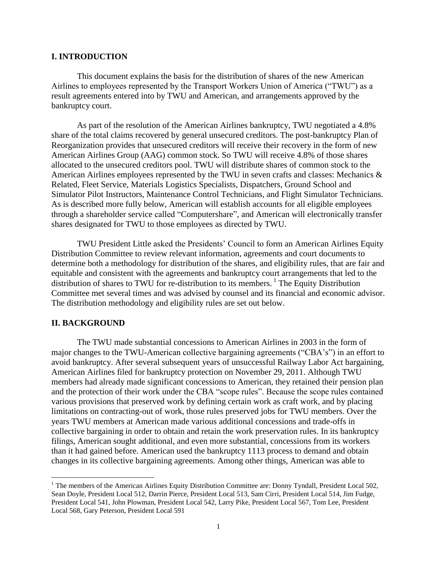#### **I. INTRODUCTION**

This document explains the basis for the distribution of shares of the new American Airlines to employees represented by the Transport Workers Union of America ("TWU") as a result agreements entered into by TWU and American, and arrangements approved by the bankruptcy court.

As part of the resolution of the American Airlines bankruptcy, TWU negotiated a 4.8% share of the total claims recovered by general unsecured creditors. The post-bankruptcy Plan of Reorganization provides that unsecured creditors will receive their recovery in the form of new American Airlines Group (AAG) common stock. So TWU will receive 4.8% of those shares allocated to the unsecured creditors pool. TWU will distribute shares of common stock to the American Airlines employees represented by the TWU in seven crafts and classes: Mechanics & Related, Fleet Service, Materials Logistics Specialists, Dispatchers, Ground School and Simulator Pilot Instructors, Maintenance Control Technicians, and Flight Simulator Technicians. As is described more fully below, American will establish accounts for all eligible employees through a shareholder service called "Computershare", and American will electronically transfer shares designated for TWU to those employees as directed by TWU.

TWU President Little asked the Presidents' Council to form an American Airlines Equity Distribution Committee to review relevant information, agreements and court documents to determine both a methodology for distribution of the shares, and eligibility rules, that are fair and equitable and consistent with the agreements and bankruptcy court arrangements that led to the distribution of shares to TWU for re-distribution to its members.<sup>1</sup> The Equity Distribution Committee met several times and was advised by counsel and its financial and economic advisor. The distribution methodology and eligibility rules are set out below.

#### **II. BACKGROUND**

 $\overline{a}$ 

The TWU made substantial concessions to American Airlines in 2003 in the form of major changes to the TWU-American collective bargaining agreements ("CBA's") in an effort to avoid bankruptcy. After several subsequent years of unsuccessful Railway Labor Act bargaining, American Airlines filed for bankruptcy protection on November 29, 2011. Although TWU members had already made significant concessions to American, they retained their pension plan and the protection of their work under the CBA "scope rules". Because the scope rules contained various provisions that preserved work by defining certain work as craft work, and by placing limitations on contracting-out of work, those rules preserved jobs for TWU members. Over the years TWU members at American made various additional concessions and trade-offs in collective bargaining in order to obtain and retain the work preservation rules. In its bankruptcy filings, American sought additional, and even more substantial, concessions from its workers than it had gained before. American used the bankruptcy 1113 process to demand and obtain changes in its collective bargaining agreements. Among other things, American was able to

<sup>&</sup>lt;sup>1</sup> The members of the American Airlines Equity Distribution Committee are: Donny Tyndall, President Local 502, Sean Doyle, President Local 512, Darrin Pierce, President Local 513, Sam Cirri, President Local 514, Jim Fudge, President Local 541, John Plowman, President Local 542, Larry Pike, President Local 567, Tom Lee, President Local 568, Gary Peterson, President Local 591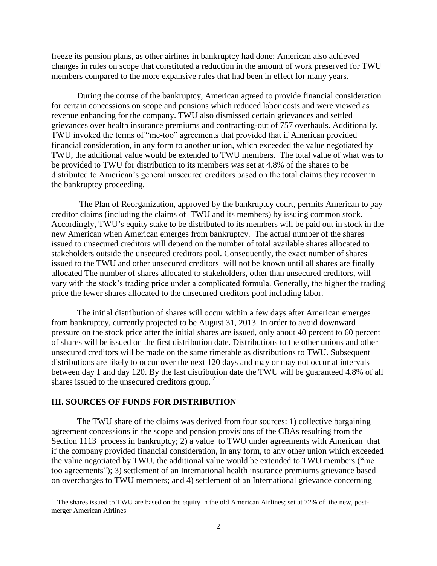freeze its pension plans, as other airlines in bankruptcy had done; American also achieved changes in rules on scope that constituted a reduction in the amount of work preserved for TWU members compared to the more expansive rule**s** that had been in effect for many years.

During the course of the bankruptcy, American agreed to provide financial consideration for certain concessions on scope and pensions which reduced labor costs and were viewed as revenue enhancing for the company. TWU also dismissed certain grievances and settled grievances over health insurance premiums and contracting-out of 757 overhauls. Additionally, TWU invoked the terms of "me-too" agreements that provided that if American provided financial consideration, in any form to another union, which exceeded the value negotiated by TWU, the additional value would be extended to TWU members. The total value of what was to be provided to TWU for distribution to its members was set at 4.8% of the shares to be distributed to American's general unsecured creditors based on the total claims they recover in the bankruptcy proceeding.

The Plan of Reorganization, approved by the bankruptcy court, permits American to pay creditor claims (including the claims of TWU and its members) by issuing common stock. Accordingly, TWU's equity stake to be distributed to its members will be paid out in stock in the new American when American emerges from bankruptcy. The actual number of the shares issued to unsecured creditors will depend on the number of total available shares allocated to stakeholders outside the unsecured creditors pool. Consequently, the exact number of shares issued to the TWU and other unsecured creditors will not be known until all shares are finally allocated The number of shares allocated to stakeholders, other than unsecured creditors, will vary with the stock's trading price under a complicated formula. Generally, the higher the trading price the fewer shares allocated to the unsecured creditors pool including labor.

The initial distribution of shares will occur within a few days after American emerges from bankruptcy, currently projected to be August 31, 2013. In order to avoid downward pressure on the stock price after the initial shares are issued, only about 40 percent to 60 percent of shares will be issued on the first distribution date. Distributions to the other unions and other unsecured creditors will be made on the same timetable as distributions to TWU**.** Subsequent distributions are likely to occur over the next 120 days and may or may not occur at intervals between day 1 and day 120. By the last distribution date the TWU will be guaranteed 4.8% of all shares issued to the unsecured creditors group.<sup>2</sup>

### **III. SOURCES OF FUNDS FOR DISTRIBUTION**

The TWU share of the claims was derived from four sources: 1) collective bargaining agreement concessions in the scope and pension provisions of the CBAs resulting from the Section 1113 process in bankruptcy; 2) a value to TWU under agreements with American that if the company provided financial consideration, in any form, to any other union which exceeded the value negotiated by TWU, the additional value would be extended to TWU members ("me too agreements"); 3) settlement of an International health insurance premiums grievance based on overcharges to TWU members; and 4) settlement of an International grievance concerning

<sup>&</sup>lt;sup>2</sup> The shares issued to TWU are based on the equity in the old American Airlines; set at 72% of the new, postmerger American Airlines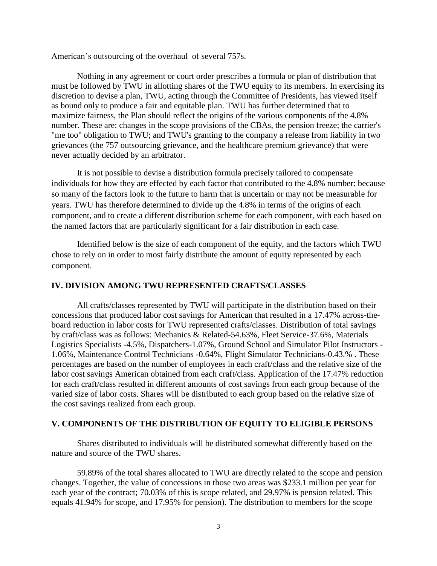American's outsourcing of the overhaul of several 757s.

Nothing in any agreement or court order prescribes a formula or plan of distribution that must be followed by TWU in allotting shares of the TWU equity to its members. In exercising its discretion to devise a plan, TWU, acting through the Committee of Presidents, has viewed itself as bound only to produce a fair and equitable plan. TWU has further determined that to maximize fairness, the Plan should reflect the origins of the various components of the 4.8% number. These are: changes in the scope provisions of the CBAs, the pension freeze; the carrier's "me too" obligation to TWU; and TWU's granting to the company a release from liability in two grievances (the 757 outsourcing grievance, and the healthcare premium grievance) that were never actually decided by an arbitrator.

It is not possible to devise a distribution formula precisely tailored to compensate individuals for how they are effected by each factor that contributed to the 4.8% number: because so many of the factors look to the future to harm that is uncertain or may not be measurable for years. TWU has therefore determined to divide up the 4.8% in terms of the origins of each component, and to create a different distribution scheme for each component, with each based on the named factors that are particularly significant for a fair distribution in each case.

Identified below is the size of each component of the equity, and the factors which TWU chose to rely on in order to most fairly distribute the amount of equity represented by each component.

#### **IV. DIVISION AMONG TWU REPRESENTED CRAFTS/CLASSES**

All crafts/classes represented by TWU will participate in the distribution based on their concessions that produced labor cost savings for American that resulted in a 17.47% across-theboard reduction in labor costs for TWU represented crafts/classes. Distribution of total savings by craft/class was as follows: Mechanics & Related-54.63%, Fleet Service-37.6%, Materials Logistics Specialists -4.5%, Dispatchers-1.07%, Ground School and Simulator Pilot Instructors - 1.06%, Maintenance Control Technicians -0.64%, Flight Simulator Technicians-0.43.% . These percentages are based on the number of employees in each craft/class and the relative size of the labor cost savings American obtained from each craft/class. Application of the 17.47% reduction for each craft/class resulted in different amounts of cost savings from each group because of the varied size of labor costs. Shares will be distributed to each group based on the relative size of the cost savings realized from each group.

#### **V. COMPONENTS OF THE DISTRIBUTION OF EQUITY TO ELIGIBLE PERSONS**

Shares distributed to individuals will be distributed somewhat differently based on the nature and source of the TWU shares.

59.89% of the total shares allocated to TWU are directly related to the scope and pension changes. Together, the value of concessions in those two areas was \$233.1 million per year for each year of the contract; 70.03% of this is scope related, and 29.97% is pension related. This equals 41.94% for scope, and 17.95% for pension). The distribution to members for the scope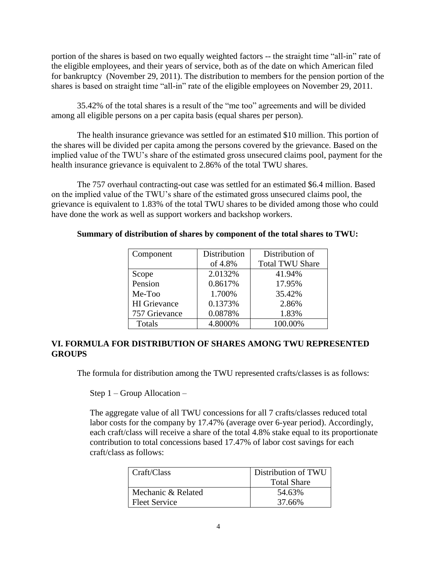portion of the shares is based on two equally weighted factors -- the straight time "all-in" rate of the eligible employees, and their years of service, both as of the date on which American filed for bankruptcy (November 29, 2011). The distribution to members for the pension portion of the shares is based on straight time "all-in" rate of the eligible employees on November 29, 2011.

35.42% of the total shares is a result of the "me too" agreements and will be divided among all eligible persons on a per capita basis (equal shares per person).

The health insurance grievance was settled for an estimated \$10 million. This portion of the shares will be divided per capita among the persons covered by the grievance. Based on the implied value of the TWU's share of the estimated gross unsecured claims pool, payment for the health insurance grievance is equivalent to 2.86% of the total TWU shares.

The 757 overhaul contracting-out case was settled for an estimated \$6.4 million. Based on the implied value of the TWU's share of the estimated gross unsecured claims pool, the grievance is equivalent to 1.83% of the total TWU shares to be divided among those who could have done the work as well as support workers and backshop workers.

## **Summary of distribution of shares by component of the total shares to TWU:**

| Component           | Distribution | Distribution of        |  |
|---------------------|--------------|------------------------|--|
|                     | of 4.8%      | <b>Total TWU Share</b> |  |
| Scope               | 2.0132%      | 41.94%                 |  |
| Pension             | 0.8617%      | 17.95%                 |  |
| Me-Too              | 1.700%       | 35.42%                 |  |
| <b>HI</b> Grievance | 0.1373%      | 2.86%                  |  |
| 757 Grievance       | 0.0878%      | 1.83%                  |  |
| Totals              | 4.8000%      | 100.00%                |  |

# **VI. FORMULA FOR DISTRIBUTION OF SHARES AMONG TWU REPRESENTED GROUPS**

The formula for distribution among the TWU represented crafts/classes is as follows:

Step 1 – Group Allocation –

The aggregate value of all TWU concessions for all 7 crafts/classes reduced total labor costs for the company by 17.47% (average over 6-year period). Accordingly, each craft/class will receive a share of the total 4.8% stake equal to its proportionate contribution to total concessions based 17.47% of labor cost savings for each craft/class as follows:

| Craft/Class          | Distribution of TWU |  |  |
|----------------------|---------------------|--|--|
|                      | <b>Total Share</b>  |  |  |
| Mechanic & Related   | 54.63%              |  |  |
| <b>Fleet Service</b> | 37.66%              |  |  |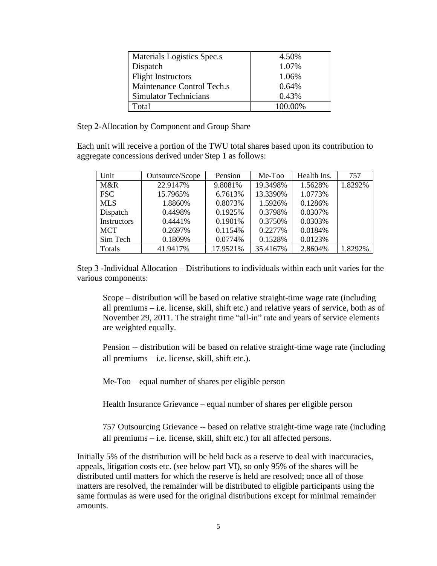| Materials Logistics Spec.s   | 4.50%   |
|------------------------------|---------|
| Dispatch                     | 1.07%   |
| <b>Flight Instructors</b>    | 1.06%   |
| Maintenance Control Tech.s   | 0.64%   |
| <b>Simulator Technicians</b> | 0.43%   |
| Total                        | 100.00% |

Step 2-Allocation by Component and Group Share

Each unit will receive a portion of the TWU total share**s** based upon its contribution to aggregate concessions derived under Step 1 as follows:

| Unit               | Outsource/Scope | Pension  | Me-Too   | Health Ins. | 757     |
|--------------------|-----------------|----------|----------|-------------|---------|
| M&R                | 22.9147%        | 9.8081%  | 19.3498% | 1.5628%     | 1.8292% |
| <b>FSC</b>         | 15.7965%        | 6.7613%  | 13.3390% | 1.0773%     |         |
| <b>MLS</b>         | 1.8860%         | 0.8073%  | 1.5926%  | 0.1286\%    |         |
| Dispatch           | 0.4498%         | 0.1925\% | 0.3798%  | 0.0307%     |         |
| <b>Instructors</b> | 0.4441\%        | 0.1901\% | 0.3750\% | 0.0303%     |         |
| <b>MCT</b>         | 0.2697%         | 0.1154%  | 0.2277%  | 0.0184%     |         |
| Sim Tech           | 0.1809%         | 0.0774%  | 0.1528%  | 0.0123%     |         |
| Totals             | 41.9417%        | 17.9521% | 35.4167% | 2.8604%     | 1.8292% |

Step 3 -Individual Allocation – Distributions to individuals within each unit varies for the various components:

Scope – distribution will be based on relative straight-time wage rate (including all premiums – i.e. license, skill, shift etc.) and relative years of service, both as of November 29, 2011. The straight time "all-in" rate and years of service elements are weighted equally.

Pension -- distribution will be based on relative straight-time wage rate (including all premiums – i.e. license, skill, shift etc.).

Me-Too – equal number of shares per eligible person

Health Insurance Grievance – equal number of shares per eligible person

757 Outsourcing Grievance -- based on relative straight-time wage rate (including all premiums – i.e. license, skill, shift etc.) for all affected persons.

Initially 5% of the distribution will be held back as a reserve to deal with inaccuracies, appeals, litigation costs etc. (see below part VI), so only 95% of the shares will be distributed until matters for which the reserve is held are resolved; once all of those matters are resolved, the remainder will be distributed to eligible participants using the same formulas as were used for the original distributions except for minimal remainder amounts.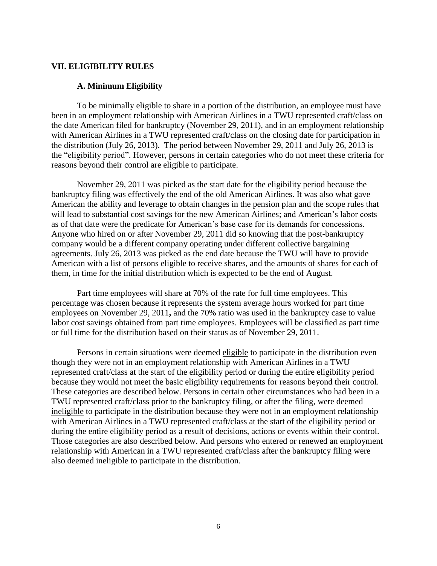#### **VII. ELIGIBILITY RULES**

#### **A. Minimum Eligibility**

To be minimally eligible to share in a portion of the distribution, an employee must have been in an employment relationship with American Airlines in a TWU represented craft/class on the date American filed for bankruptcy (November 29, 2011), and in an employment relationship with American Airlines in a TWU represented craft/class on the closing date for participation in the distribution (July 26, 2013). The period between November 29, 2011 and July 26, 2013 is the "eligibility period". However, persons in certain categories who do not meet these criteria for reasons beyond their control are eligible to participate.

November 29, 2011 was picked as the start date for the eligibility period because the bankruptcy filing was effectively the end of the old American Airlines. It was also what gave American the ability and leverage to obtain changes in the pension plan and the scope rules that will lead to substantial cost savings for the new American Airlines; and American's labor costs as of that date were the predicate for American's base case for its demands for concessions. Anyone who hired on or after November 29, 2011 did so knowing that the post-bankruptcy company would be a different company operating under different collective bargaining agreements. July 26, 2013 was picked as the end date because the TWU will have to provide American with a list of persons eligible to receive shares, and the amounts of shares for each of them, in time for the initial distribution which is expected to be the end of August.

Part time employees will share at 70% of the rate for full time employees. This percentage was chosen because it represents the system average hours worked for part time employees on November 29, 2011**,** and the 70% ratio was used in the bankruptcy case to value labor cost savings obtained from part time employees. Employees will be classified as part time or full time for the distribution based on their status as of November 29, 2011.

Persons in certain situations were deemed eligible to participate in the distribution even though they were not in an employment relationship with American Airlines in a TWU represented craft/class at the start of the eligibility period or during the entire eligibility period because they would not meet the basic eligibility requirements for reasons beyond their control. These categories are described below. Persons in certain other circumstances who had been in a TWU represented craft/class prior to the bankruptcy filing, or after the filing, were deemed ineligible to participate in the distribution because they were not in an employment relationship with American Airlines in a TWU represented craft/class at the start of the eligibility period or during the entire eligibility period as a result of decisions, actions or events within their control. Those categories are also described below. And persons who entered or renewed an employment relationship with American in a TWU represented craft/class after the bankruptcy filing were also deemed ineligible to participate in the distribution.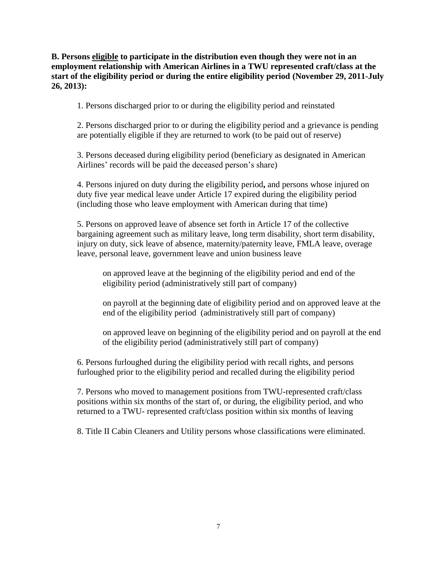**B. Persons eligible to participate in the distribution even though they were not in an employment relationship with American Airlines in a TWU represented craft/class at the start of the eligibility period or during the entire eligibility period (November 29, 2011-July 26, 2013):**

1. Persons discharged prior to or during the eligibility period and reinstated

2. Persons discharged prior to or during the eligibility period and a grievance is pending are potentially eligible if they are returned to work (to be paid out of reserve)

3. Persons deceased during eligibility period (beneficiary as designated in American Airlines' records will be paid the deceased person's share)

4. Persons injured on duty during the eligibility period**,** and persons whose injured on duty five year medical leave under Article 17 expired during the eligibility period (including those who leave employment with American during that time)

5. Persons on approved leave of absence set forth in Article 17 of the collective bargaining agreement such as military leave, long term disability, short term disability, injury on duty, sick leave of absence, maternity/paternity leave, FMLA leave, overage leave, personal leave, government leave and union business leave

on approved leave at the beginning of the eligibility period and end of the eligibility period (administratively still part of company)

on payroll at the beginning date of eligibility period and on approved leave at the end of the eligibility period (administratively still part of company)

on approved leave on beginning of the eligibility period and on payroll at the end of the eligibility period (administratively still part of company)

6. Persons furloughed during the eligibility period with recall rights, and persons furloughed prior to the eligibility period and recalled during the eligibility period

7. Persons who moved to management positions from TWU-represented craft/class positions within six months of the start of, or during, the eligibility period, and who returned to a TWU- represented craft/class position within six months of leaving

8. Title II Cabin Cleaners and Utility persons whose classifications were eliminated.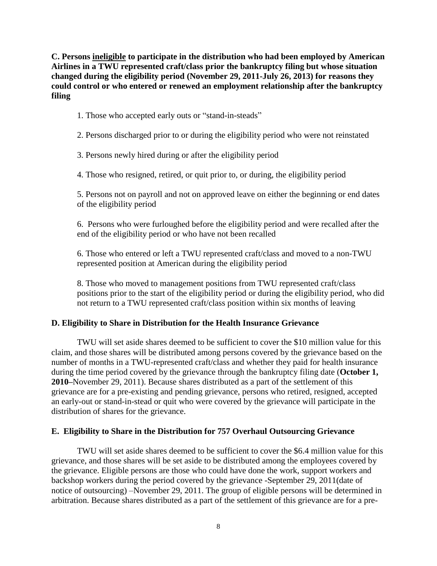**C. Persons ineligible to participate in the distribution who had been employed by American Airlines in a TWU represented craft/class prior the bankruptcy filing but whose situation changed during the eligibility period (November 29, 2011-July 26, 2013) for reasons they could control or who entered or renewed an employment relationship after the bankruptcy filing** 

- 1. Those who accepted early outs or "stand-in-steads"
- 2. Persons discharged prior to or during the eligibility period who were not reinstated
- 3. Persons newly hired during or after the eligibility period

4. Those who resigned, retired, or quit prior to, or during, the eligibility period

5. Persons not on payroll and not on approved leave on either the beginning or end dates of the eligibility period

6. Persons who were furloughed before the eligibility period and were recalled after the end of the eligibility period or who have not been recalled

6. Those who entered or left a TWU represented craft/class and moved to a non-TWU represented position at American during the eligibility period

8. Those who moved to management positions from TWU represented craft/class positions prior to the start of the eligibility period or during the eligibility period, who did not return to a TWU represented craft/class position within six months of leaving

#### **D. Eligibility to Share in Distribution for the Health Insurance Grievance**

TWU will set aside shares deemed to be sufficient to cover the \$10 million value for this claim, and those shares will be distributed among persons covered by the grievance based on the number of months in a TWU-represented craft/class and whether they paid for health insurance during the time period covered by the grievance through the bankruptcy filing date (**October 1, 2010–**November 29, 2011). Because shares distributed as a part of the settlement of this grievance are for a pre-existing and pending grievance, persons who retired, resigned, accepted an early-out or stand-in-stead or quit who were covered by the grievance will participate in the distribution of shares for the grievance.

#### **E. Eligibility to Share in the Distribution for 757 Overhaul Outsourcing Grievance**

TWU will set aside shares deemed to be sufficient to cover the \$6.4 million value for this grievance, and those shares will be set aside to be distributed among the employees covered by the grievance. Eligible persons are those who could have done the work, support workers and backshop workers during the period covered by the grievance -September 29, 2011(date of notice of outsourcing) –November 29, 2011. The group of eligible persons will be determined in arbitration. Because shares distributed as a part of the settlement of this grievance are for a pre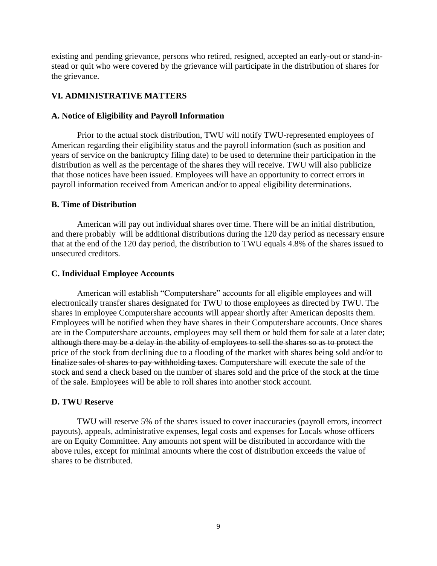existing and pending grievance, persons who retired, resigned, accepted an early-out or stand-instead or quit who were covered by the grievance will participate in the distribution of shares for the grievance.

# **VI. ADMINISTRATIVE MATTERS**

### **A. Notice of Eligibility and Payroll Information**

Prior to the actual stock distribution, TWU will notify TWU-represented employees of American regarding their eligibility status and the payroll information (such as position and years of service on the bankruptcy filing date) to be used to determine their participation in the distribution as well as the percentage of the shares they will receive. TWU will also publicize that those notices have been issued. Employees will have an opportunity to correct errors in payroll information received from American and/or to appeal eligibility determinations.

### **B. Time of Distribution**

American will pay out individual shares over time. There will be an initial distribution, and there probably will be additional distributions during the 120 day period as necessary ensure that at the end of the 120 day period, the distribution to TWU equals 4.8% of the shares issued to unsecured creditors.

### **C. Individual Employee Accounts**

American will establish "Computershare" accounts for all eligible employees and will electronically transfer shares designated for TWU to those employees as directed by TWU. The shares in employee Computershare accounts will appear shortly after American deposits them. Employees will be notified when they have shares in their Computershare accounts. Once shares are in the Computershare accounts, employees may sell them or hold them for sale at a later date; although there may be a delay in the ability of employees to sell the shares so as to protect the price of the stock from declining due to a flooding of the market with shares being sold and/or to finalize sales of shares to pay withholding taxes. Computershare will execute the sale of the stock and send a check based on the number of shares sold and the price of the stock at the time of the sale. Employees will be able to roll shares into another stock account.

## **D. TWU Reserve**

TWU will reserve 5% of the shares issued to cover inaccuracies (payroll errors, incorrect payouts), appeals, administrative expenses, legal costs and expenses for Locals whose officers are on Equity Committee. Any amounts not spent will be distributed in accordance with the above rules, except for minimal amounts where the cost of distribution exceeds the value of shares to be distributed.